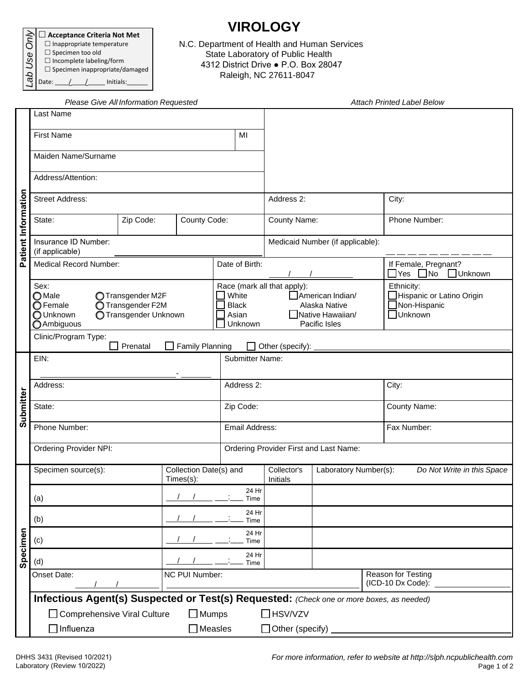| Acceptance Criteria Not Met           |  |  |  |  |  |  |
|---------------------------------------|--|--|--|--|--|--|
| $\Box$ Inappropriate temperature      |  |  |  |  |  |  |
| $\Box$ Specimen too old               |  |  |  |  |  |  |
| $\Box$ Incomplete labeling/form       |  |  |  |  |  |  |
| $\Box$ Specimen inappropriate/damaged |  |  |  |  |  |  |
| Initials:<br>Date:                    |  |  |  |  |  |  |

## **VIROLOGY**

N.C. Department of Health and Human Services State Laboratory of Public Health 4312 District Drive ● P.O. Box 28047 Raleigh, NC 27611-8047

|                     | Please Give All Information Requested                                                                                                   |                   |                |                                           |                                                                                                              |                       |                                                                | <b>Attach Printed Label Below</b>                                   |  |
|---------------------|-----------------------------------------------------------------------------------------------------------------------------------------|-------------------|----------------|-------------------------------------------|--------------------------------------------------------------------------------------------------------------|-----------------------|----------------------------------------------------------------|---------------------------------------------------------------------|--|
| Patient Information | Last Name                                                                                                                               |                   |                |                                           |                                                                                                              |                       |                                                                |                                                                     |  |
|                     | <b>First Name</b>                                                                                                                       |                   | MI             |                                           |                                                                                                              |                       |                                                                |                                                                     |  |
|                     | Maiden Name/Surname                                                                                                                     |                   |                |                                           |                                                                                                              |                       |                                                                |                                                                     |  |
|                     | Address/Attention:                                                                                                                      |                   |                |                                           |                                                                                                              |                       |                                                                |                                                                     |  |
|                     | <b>Street Address:</b>                                                                                                                  |                   | Address 2:     |                                           |                                                                                                              | City:                 |                                                                |                                                                     |  |
|                     | County Code:<br>Zip Code:<br>State:                                                                                                     |                   |                |                                           | County Name:                                                                                                 |                       |                                                                | Phone Number:                                                       |  |
|                     | Insurance ID Number:<br>(if applicable)                                                                                                 |                   |                |                                           | Medicaid Number (if applicable):                                                                             |                       |                                                                |                                                                     |  |
|                     | <b>Medical Record Number:</b>                                                                                                           |                   | Date of Birth: |                                           |                                                                                                              |                       | If Female, Pregnant?<br>$\Box$ Yes $\Box$ No<br><b>Unknown</b> |                                                                     |  |
|                     | Sex:<br>$\bigcirc$ Male<br>◯ Transgender M2F<br>◯ Transgender F2M<br>◯ Female<br>O Unknown<br>◯ Transgender Unknown<br><b>Ambiguous</b> |                   |                | White<br><b>Black</b><br>Asian<br>Unknown | Race (mark all that apply):<br>American Indian/<br>Alaska Native<br><b>Native Hawaiian/</b><br>Pacific Isles |                       |                                                                | Ethnicity:<br>Hispanic or Latino Origin<br>Non-Hispanic<br>□Unknown |  |
|                     | Clinic/Program Type:<br><b>Family Planning</b><br>Prenatal<br>Other (specify):                                                          |                   |                |                                           |                                                                                                              |                       |                                                                |                                                                     |  |
|                     | EIN:                                                                                                                                    |                   |                | <b>Submitter Name:</b>                    |                                                                                                              |                       |                                                                |                                                                     |  |
|                     | Address:                                                                                                                                |                   | Address 2:     |                                           |                                                                                                              |                       | City:                                                          |                                                                     |  |
| Submitter           | State:                                                                                                                                  |                   | Zip Code:      |                                           |                                                                                                              |                       | County Name:                                                   |                                                                     |  |
|                     | Phone Number:                                                                                                                           |                   | Email Address: |                                           |                                                                                                              |                       | Fax Number:                                                    |                                                                     |  |
|                     | <b>Ordering Provider NPI:</b>                                                                                                           |                   |                |                                           | Ordering Provider First and Last Name:                                                                       |                       |                                                                |                                                                     |  |
|                     | Specimen source(s):<br>Collection Date(s) and<br>Times(s):                                                                              |                   |                |                                           | Collector's<br>Initials                                                                                      | Laboratory Number(s): |                                                                | Do Not Write in this Space                                          |  |
|                     | (a)                                                                                                                                     |                   |                | 24 Hr<br>Time                             |                                                                                                              |                       |                                                                |                                                                     |  |
|                     | (b)                                                                                                                                     | 24 Hr<br>Time     |                |                                           |                                                                                                              |                       |                                                                |                                                                     |  |
| Specimen            | (c)                                                                                                                                     | 24 Hr<br>Time     |                |                                           |                                                                                                              |                       |                                                                |                                                                     |  |
|                     | 24 Hr<br>(d)<br>Time<br>NC PUI Number:                                                                                                  |                   |                |                                           |                                                                                                              |                       |                                                                |                                                                     |  |
|                     | Onset Date:                                                                                                                             |                   |                |                                           | Reason for Testing<br>(ICD-10 Dx Code):                                                                      |                       |                                                                |                                                                     |  |
|                     | Infectious Agent(s) Suspected or Test(s) Requested: (Check one or more boxes, as needed)<br>□ Comprehensive Viral Culture               | $\Box$ Mumps      |                |                                           | $\Box$ HSV/VZV                                                                                               |                       |                                                                |                                                                     |  |
|                     | $\Box$ Influenza                                                                                                                        | $\square$ Measles |                |                                           | $\Box$ Other (specify)                                                                                       |                       |                                                                |                                                                     |  |